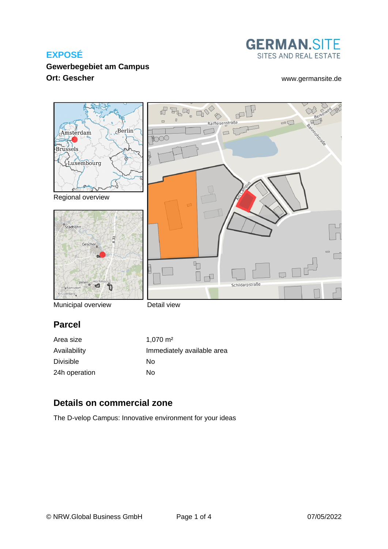

## **Gewerbegebiet am Campus Ort: Gescher** [www.germansite.de](http://www.germansite.de)



Municipal overview

Detail view

# **Parcel**

| Area size     | $1.070 \text{ m}^2$        |
|---------------|----------------------------|
| Availability  | Immediately available area |
| Divisible     | Nο                         |
| 24h operation | No                         |

## **Details on commercial zone**

The D-velop Campus: Innovative environment for your ideas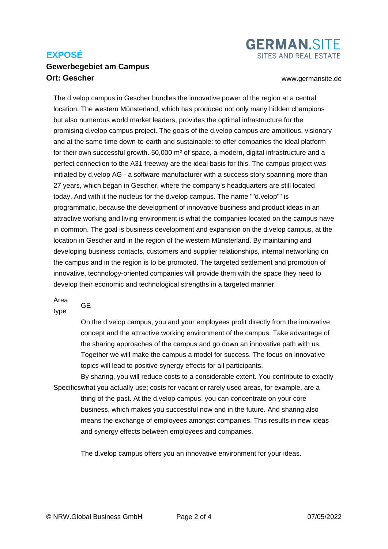#### **Gewerbegebiet am Campus Ort: Gescher** [www.germansite.de](http://www.germansite.de)

**GERMAN.SITE** SITES AND REAL ESTATE

The d.velop campus in Gescher bundles the innovative power of the region at a central location. The western Münsterland, which has produced not only many hidden champions but also numerous world market leaders, provides the optimal infrastructure for the promising d.velop campus project. The goals of the d.velop campus are ambitious, visionary and at the same time down-to-earth and sustainable: to offer companies the ideal platform for their own successful growth. 50,000 m² of space, a modern, digital infrastructure and a perfect connection to the A31 freeway are the ideal basis for this. The campus project was initiated by d.velop AG - a software manufacturer with a success story spanning more than 27 years, which began in Gescher, where the company's headquarters are still located today. And with it the nucleus for the d.velop campus. The name ""d.velop"" is programmatic, because the development of innovative business and product ideas in an attractive working and living environment is what the companies located on the campus have in common. The goal is business development and expansion on the d.velop campus, at the location in Gescher and in the region of the western Münsterland. By maintaining and developing business contacts, customers and supplier relationships, internal networking on the campus and in the region is to be promoted. The targeted settlement and promotion of innovative, technology-oriented companies will provide them with the space they need to develop their economic and technological strengths in a targeted manner.

Area

GE

type

On the d.velop campus, you and your employees profit directly from the innovative concept and the attractive working environment of the campus. Take advantage of the sharing approaches of the campus and go down an innovative path with us. Together we will make the campus a model for success. The focus on innovative topics will lead to positive synergy effects for all participants.

Specifics what you actually use; costs for vacant or rarely used areas, for example, are a By sharing, you will reduce costs to a considerable extent. You contribute to exactly thing of the past. At the d.velop campus, you can concentrate on your core business, which makes you successful now and in the future. And sharing also means the exchange of employees amongst companies. This results in new ideas and synergy effects between employees and companies.

The d.velop campus offers you an innovative environment for your ideas.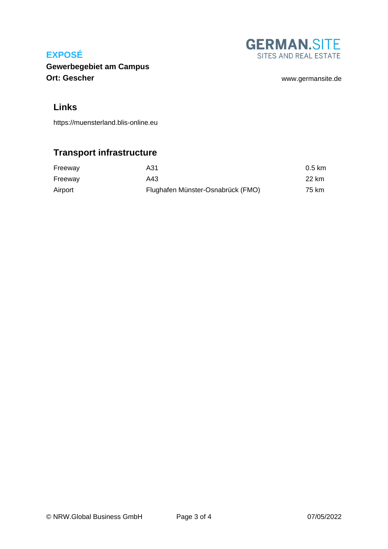

**Gewerbegebiet am Campus Ort: Gescher** [www.germansite.de](http://www.germansite.de)

### **Links**

<https://muensterland.blis-online.eu>

# **Transport infrastructure**

| Freeway | A31                               | $0.5 \text{ km}$ |
|---------|-----------------------------------|------------------|
| Freeway | A43                               | 22 km            |
| Airport | Flughafen Münster-Osnabrück (FMO) | 75 km            |